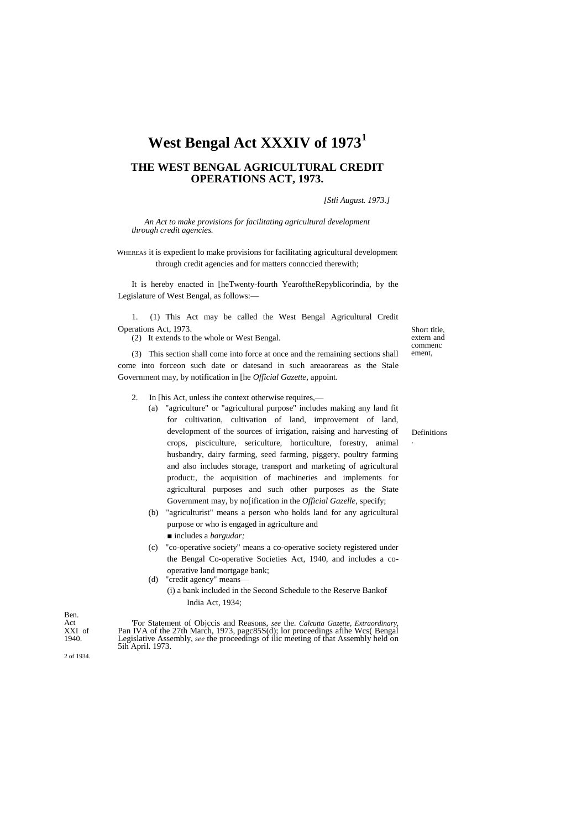# **West Bengal Act XXXIV of 1973<sup>1</sup>**

# **THE WEST BENGAL AGRICULTURAL CREDIT OPERATIONS ACT, 1973.**

*[Stli August. 1973.]*

*An Act to make provisions for facilitating agricultural development through credit agencies.*

WHEREAS it is expedient lo make provisions for facilitating agricultural development through credit agencies and for matters connccied therewith;

It is hereby enacted in [heTwenty-fourth YearoftheRepyblicorindia, by the Legislature of West Bengal, as follows:—

1. (1) This Act may be called the West Bengal Agricultural Credit Operations Act, 1973.

(2) It extends to the whole or West Bengal.

(3) This section shall come into force at once and the remaining sections shall come into forceon such date or datesand in such areaorareas as the Stale Government may, by notification in [he *Official Gazette,* appoint.

- 2. In [his Act, unless ihe context otherwise requires,—
	- (a) "agriculture" or "agricultural purpose" includes making any land fit for cultivation, cultivation of land, improvement of land, development of the sources of irrigation, raising and harvesting of crops, pisciculture, sericulture, horticulture, forestry, animal husbandry, dairy farming, seed farming, piggery, poultry farming and also includes storage, transport and marketing of agricultural product:, the acquisition of machineries and implements for agricultural purposes and such other purposes as the State Government may, by no[ification in the *Official Gazelle,* specify;
	- (b) "agriculturist" means a person who holds land for any agricultural purpose or who is engaged in agriculture and ■ includes a *bargudar*;
	- (c) "co-operative society" means a co-operative society registered under the Bengal Co-operative Societies Act, 1940, and includes a cooperative land mortgage bank;
	- (d) "credit agency" means—
		- (i) a bank included in the Second Schedule to the Reserve Bankof India Act, 1934;

Ben. Act XXI of 1940.

'For Statement of Objccis and Reasons, see the. Calcutta Gazette, Extraordinary, Pan IVA of the 27th March, 1973, pagc85S(d); lor proceedings afihe Wcs( Bengal Legislative Assembly, see the proceedings of ilic meeting of t 5ih April. 1973.

Short title, extern and commenc ement,

Definitions .

2 of 1934.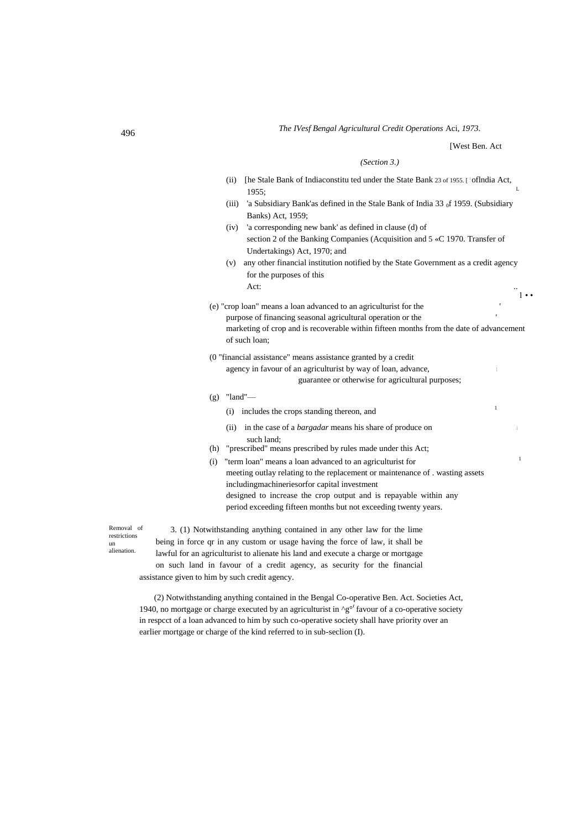*The IVesf Bengal Agricultural Credit Operations* Aci, *1973.*

[West Ben. Act

1 • •

### *(Section 3.)*

- (ii) [he Stale Bank of Indiaconstitu ted under the State Bank 23 of 1955. [ : oflndia Act, 1955;  $\blacksquare$
- (iii) 'a Subsidiary Bank'as defined in the Stale Bank of India 33  $_0$ f 1959. (Subsidiary Banks) Act, 1959;
- (iv) 'a corresponding new bank' as defined in clause (d) of section 2 of the Banking Companies (Acquisition and 5 «C 1970. Transfer of Undertakings) Act, 1970; and
- (v) any other financial institution notified by the State Government as a credit agency for the purposes of this  $\det$ :
- (e) "crop loan" means a loan advanced to an agriculturist for the ' purpose of financing seasonal agricultural operation or the marketing of crop and is recoverable within fifteen months from the date of advancement of such loan;
- (0 "financial assistance" means assistance granted by a credit agency in favour of an agriculturist by way of loan, advance,
	- guarantee or otherwise for agricultural purposes;
- (g) "land"—
	- (i) includes the crops standing thereon, and <sup>1</sup>
	- (ii) in the case of a *bargadar* means his share of produce on such land;
- (h) "prescribed" means prescribed by rules made under this Act;
- (i) "term loan" means a loan advanced to an agriculturist for <sup>1</sup> meeting outlay relating to the replacement or maintenance of . wasting assets includingmachineriesorfor capital investment designed to increase the crop output and is repayable within any period exceeding fifteen months but not exceeding twenty years.

Removal of restrictions un alienation.

3. (1) Notwithstanding anything contained in any other law for the lime being in force qr in any custom or usage having the force of law, it shall be lawful for an agriculturist to alienate his land and execute a charge or mortgage on such land in favour of a credit agency, as security for the financial assistance given to him by such credit agency.

(2) Notwithstanding anything contained in the Bengal Co-operative Ben. Act. Societies Act, 1940, no mortgage or charge executed by an agriculturist in  $\gamma g^{\circ r}$  favour of a co-operative society in respcct of a loan advanced to him by such co-operative society shall have priority over an earlier mortgage or charge of the kind referred to in sub-seclion (I).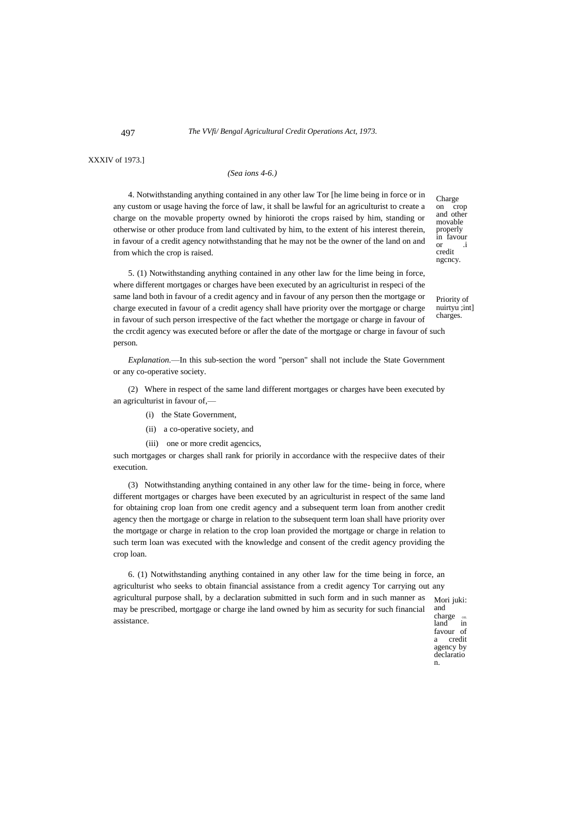#### *The VVfi/ Bengal Agricultural Credit Operations Act, 1973.*

XXXIV of 1973.]

## *(Sea ions 4-6.)*

4. Notwithstanding anything contained in any other law Tor [he lime being in force or in any custom or usage having the force of law, it shall be lawful for an agriculturist to create a charge on the movable property owned by hinioroti the crops raised by him, standing or otherwise or other produce from land cultivated by him, to the extent of his interest therein, in favour of a credit agency notwithstanding that he may not be the owner of the land on and from which the crop is raised.

Charge on crop and other movable properly in favour or .i credit ngcncy.

Priority of nuirtyu ;int] charges.

5. (1) Notwithstanding anything contained in any other law for the lime being in force, where different mortgages or charges have been executed by an agriculturist in respeci of the same land both in favour of a credit agency and in favour of any person then the mortgage or charge executed in favour of a credit agency shall have priority over the mortgage or charge in favour of such person irrespective of the fact whether the mortgage or charge in favour of the crcdit agency was executed before or afler the date of the mortgage or charge in favour of such person.

*Explanation.*—In this sub-section the word "person" shall not include the State Government or any co-operative society.

(2) Where in respect of the same land different mortgages or charges have been executed by an agriculturist in favour of,—

- (i) the State Government,
- (ii) a co-operative society, and
- (iii) one or more credit agencics,

such mortgages or charges shall rank for priorily in accordance with the respeciive dates of their execution.

(3) Notwithstanding anything contained in any other law for the time- being in force, where different mortgages or charges have been executed by an agriculturist in respect of the same land for obtaining crop loan from one credit agency and a subsequent term loan from another credit agency then the mortgage or charge in relation to the subsequent term loan shall have priority over the mortgage or charge in relation to the crop loan provided the mortgage or charge in relation to such term loan was executed with the knowledge and consent of the credit agency providing the crop loan.

Mori juki: and land 6. (1) Notwithstanding anything contained in any other law for the time being in force, an agriculturist who seeks to obtain financial assistance from a credit agency Tor carrying out any agricultural purpose shall, by a declaration submitted in such form and in such manner as may be prescribed, mortgage or charge ihe land owned by him as security for such financial assistance.

charge  $\alpha$ <sub>land</sub> in favour of a credit agency by declaratio n.

497